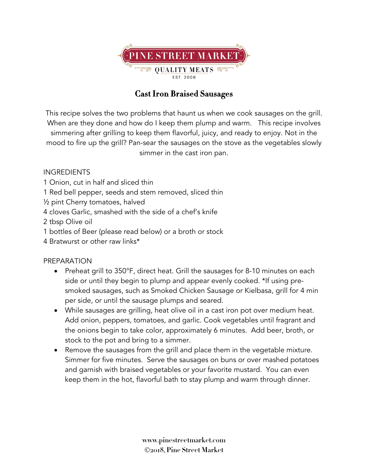

## **Cast Iron Braised Sausages**

This recipe solves the two problems that haunt us when we cook sausages on the grill. When are they done and how do I keep them plump and warm. This recipe involves simmering after grilling to keep them flavorful, juicy, and ready to enjoy. Not in the mood to fire up the grill? Pan-sear the sausages on the stove as the vegetables slowly simmer in the cast iron pan.

## INGREDIENTS

- 1 Onion, cut in half and sliced thin
- 1 Red bell pepper, seeds and stem removed, sliced thin
- ½ pint Cherry tomatoes, halved
- 4 cloves Garlic, smashed with the side of a chef's knife
- 2 tbsp Olive oil
- 1 bottles of Beer (please read below) or a broth or stock
- 4 Bratwurst or other raw links\*

## PREPARATION

- Preheat grill to 350°F, direct heat. Grill the sausages for 8-10 minutes on each side or until they begin to plump and appear evenly cooked. \*If using presmoked sausages, such as Smoked Chicken Sausage or Kielbasa, grill for 4 min per side, or until the sausage plumps and seared.
- While sausages are grilling, heat olive oil in a cast iron pot over medium heat. Add onion, peppers, tomatoes, and garlic. Cook vegetables until fragrant and the onions begin to take color, approximately 6 minutes. Add beer, broth, or stock to the pot and bring to a simmer.
- Remove the sausages from the grill and place them in the vegetable mixture. Simmer for five minutes. Serve the sausages on buns or over mashed potatoes and garnish with braised vegetables or your favorite mustard. You can even keep them in the hot, flavorful bath to stay plump and warm through dinner.